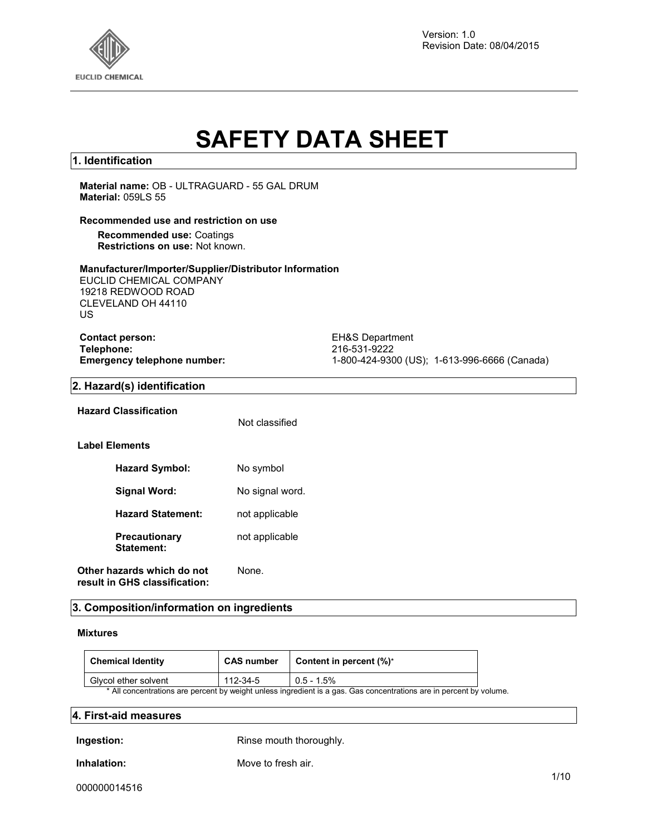

Version: 1.0 Revision Date: 08/04/2015

# **SAFETY DATA SHEET**

### **1. Identification**

**Material name:** OB - ULTRAGUARD - 55 GAL DRUM **Material:** 059LS 55

#### **Recommended use and restriction on use**

**Recommended use:** Coatings **Restrictions on use:** Not known.

#### **Manufacturer/Importer/Supplier/Distributor Information**

EUCLID CHEMICAL COMPANY 19218 REDWOOD ROAD CLEVELAND OH 44110 US

**Contact person:** EH&S Department<br> **Telephone:** 216-531-9222 **Telephone:** 216-531-9222

**Emergency telephone number:** 1-800-424-9300 (US); 1-613-996-6666 (Canada)

#### **2. Hazard(s) identification**

| Hazard Classification                                       | Not classified  |
|-------------------------------------------------------------|-----------------|
| Label Elements                                              |                 |
| <b>Hazard Symbol:</b>                                       | No symbol       |
| Signal Word:                                                | No signal word. |
| <b>Hazard Statement:</b>                                    | not applicable  |
| <b>Precautionary</b><br>Statement:                          | not applicable  |
| Other hazards which do not<br>result in GHS classification: | None.           |

### **3. Composition/information on ingredients**

### **Mixtures**

| <b>Chemical Identity</b> | <b>CAS number</b> | Content in percent $(\%)^*$                                                                                         |  |
|--------------------------|-------------------|---------------------------------------------------------------------------------------------------------------------|--|
| Givcol ether solvent     | 112-34-5          | $0.5 - 1.5\%$                                                                                                       |  |
|                          |                   | * All concentrations are percent by weight unless ingredient is a gas. Gas concentrations are in percent by volume. |  |

### **4. First-aid measures**

**Ingestion:** Rinse mouth thoroughly.

**Inhalation:** Move to fresh air.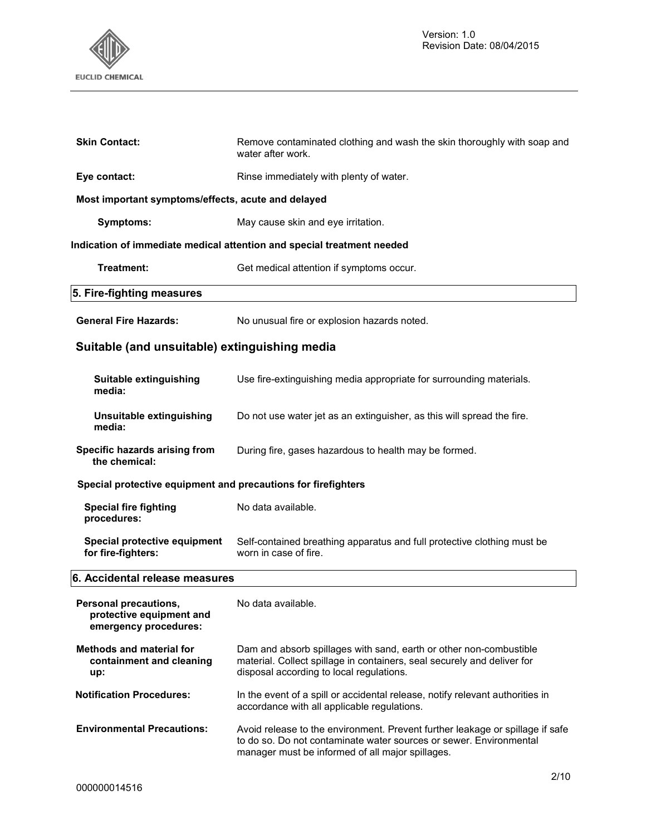

| 5. Fire-fighting measures                          |                                                                                              |
|----------------------------------------------------|----------------------------------------------------------------------------------------------|
| Treatment:                                         | Get medical attention if symptoms occur.                                                     |
|                                                    | Indication of immediate medical attention and special treatment needed                       |
| Symptoms:                                          | May cause skin and eye irritation.                                                           |
| Most important symptoms/effects, acute and delayed |                                                                                              |
| Eye contact:                                       | Rinse immediately with plenty of water.                                                      |
| <b>Skin Contact:</b>                               | Remove contaminated clothing and wash the skin thoroughly with soap and<br>water after work. |

General Fire Hazards: No unusual fire or explosion hazards noted.

# **Suitable (and unsuitable) extinguishing media**

| Suitable extinguishing<br>media:                                           | Use fire-extinguishing media appropriate for surrounding materials.                              |  |
|----------------------------------------------------------------------------|--------------------------------------------------------------------------------------------------|--|
| Unsuitable extinguishing<br>media:                                         | Do not use water jet as an extinguisher, as this will spread the fire.                           |  |
| Specific hazards arising from<br>the chemical:                             | During fire, gases hazardous to health may be formed.                                            |  |
| Special protective equipment and precautions for firefighters              |                                                                                                  |  |
| Special fire fighting<br>procedures:                                       | No data available.                                                                               |  |
| Special protective equipment<br>for fire-fighters:                         | Self-contained breathing apparatus and full protective clothing must be<br>worn in case of fire. |  |
| 6. Accidental release measures                                             |                                                                                                  |  |
| Personal precautions,<br>protective equipment and<br>emergency procedures: | No data available.                                                                               |  |

- **Methods and material for containment and cleaning up:**  Dam and absorb spillages with sand, earth or other non-combustible material. Collect spillage in containers, seal securely and deliver for disposal according to local regulations. **Notification Procedures:** In the event of a spill or accidental release, notify relevant authorities in accordance with all applicable regulations.
- **Environmental Precautions:** Avoid release to the environment. Prevent further leakage or spillage if safe to do so. Do not contaminate water sources or sewer. Environmental manager must be informed of all major spillages.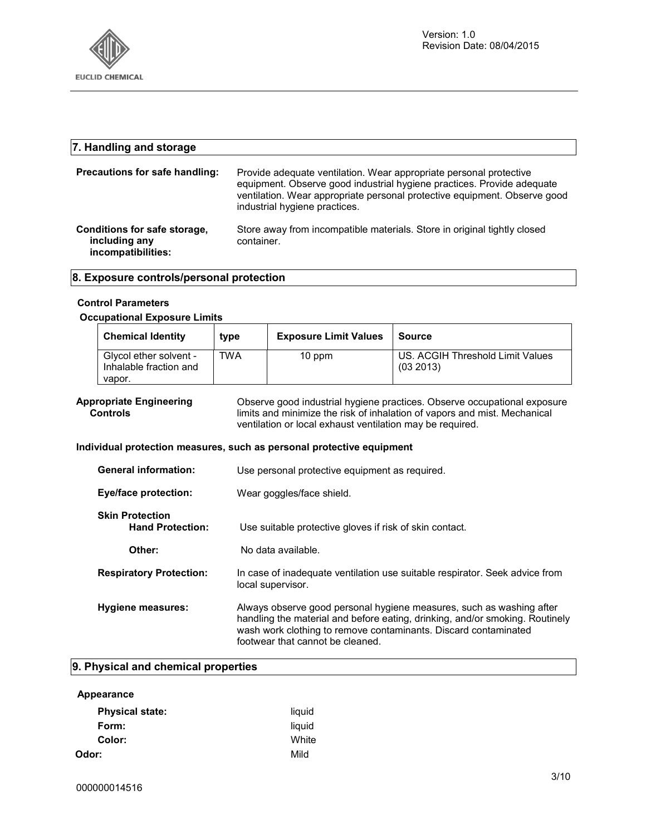

| 7. Handling and storage                                             |                                                                                                                                                                                                                                                            |
|---------------------------------------------------------------------|------------------------------------------------------------------------------------------------------------------------------------------------------------------------------------------------------------------------------------------------------------|
| Precautions for safe handling:                                      | Provide adequate ventilation. Wear appropriate personal protective<br>equipment. Observe good industrial hygiene practices. Provide adequate<br>ventilation. Wear appropriate personal protective equipment. Observe good<br>industrial hygiene practices. |
| Conditions for safe storage,<br>including any<br>incompatibilities: | Store away from incompatible materials. Store in original tightly closed<br>container.                                                                                                                                                                     |

### **8. Exposure controls/personal protection**

#### **Control Parameters**

#### **Occupational Exposure Limits**

| TWA<br>Givcol ether solvent -<br>10 ppm<br>Inhalable fraction and<br>vapor. | US. ACGIH Threshold Limit Values<br>(032013) |
|-----------------------------------------------------------------------------|----------------------------------------------|

#### **Appropriate Engineering Controls**

Observe good industrial hygiene practices. Observe occupational exposure limits and minimize the risk of inhalation of vapors and mist. Mechanical ventilation or local exhaust ventilation may be required.

#### **Individual protection measures, such as personal protective equipment**

| <b>General information:</b>                       | Use personal protective equipment as required.                                                                                                                                                                                                              |
|---------------------------------------------------|-------------------------------------------------------------------------------------------------------------------------------------------------------------------------------------------------------------------------------------------------------------|
| <b>Eye/face protection:</b>                       | Wear goggles/face shield.                                                                                                                                                                                                                                   |
| <b>Skin Protection</b><br><b>Hand Protection:</b> | Use suitable protective gloves if risk of skin contact.                                                                                                                                                                                                     |
| Other:                                            | No data available.                                                                                                                                                                                                                                          |
| <b>Respiratory Protection:</b>                    | In case of inadequate ventilation use suitable respirator. Seek advice from<br>local supervisor.                                                                                                                                                            |
| Hygiene measures:                                 | Always observe good personal hygiene measures, such as washing after<br>handling the material and before eating, drinking, and/or smoking. Routinely<br>wash work clothing to remove contaminants. Discard contaminated<br>footwear that cannot be cleaned. |

### **9. Physical and chemical properties**

| Appearance             |        |
|------------------------|--------|
| <b>Physical state:</b> | liquid |
| Form:                  | liquid |
| Color:                 | White  |
| Odor:                  | Mild   |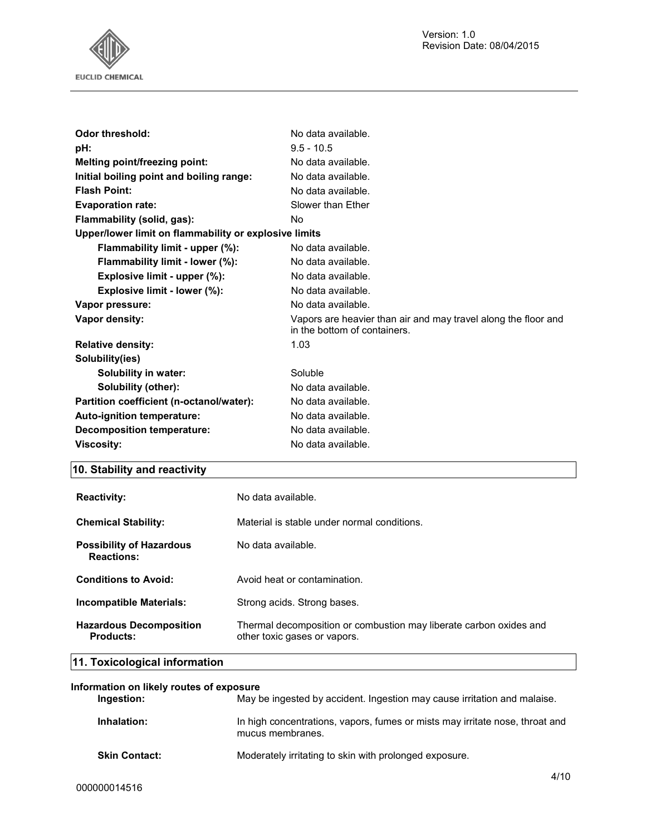

| Odor threshold:                                       | No data available.                                                                             |  |
|-------------------------------------------------------|------------------------------------------------------------------------------------------------|--|
| pH:                                                   | $9.5 - 10.5$                                                                                   |  |
| Melting point/freezing point:                         | No data available.                                                                             |  |
| Initial boiling point and boiling range:              | No data available.                                                                             |  |
| <b>Flash Point:</b>                                   | No data available.                                                                             |  |
| <b>Evaporation rate:</b>                              | Slower than Ether                                                                              |  |
| Flammability (solid, gas):                            | No                                                                                             |  |
| Upper/lower limit on flammability or explosive limits |                                                                                                |  |
| Flammability limit - upper (%):                       | No data available.                                                                             |  |
| Flammability limit - lower (%):                       | No data available.                                                                             |  |
| Explosive limit - upper (%):                          | No data available.                                                                             |  |
| Explosive limit - lower (%):                          | No data available.                                                                             |  |
| Vapor pressure:                                       | No data available.                                                                             |  |
| Vapor density:                                        | Vapors are heavier than air and may travel along the floor and<br>in the bottom of containers. |  |
| <b>Relative density:</b>                              | 1.03                                                                                           |  |
| Solubility(ies)                                       |                                                                                                |  |
| Solubility in water:                                  | Soluble                                                                                        |  |
| Solubility (other):                                   | No data available.                                                                             |  |
| Partition coefficient (n-octanol/water):              | No data available.                                                                             |  |
| Auto-ignition temperature:                            | No data available.                                                                             |  |
| <b>Decomposition temperature:</b>                     | No data available.                                                                             |  |
| <b>Viscosity:</b>                                     | No data available.                                                                             |  |
|                                                       |                                                                                                |  |

# **10. Stability and reactivity**

| <b>Reactivity:</b>                                   | No data available.                                                                                 |
|------------------------------------------------------|----------------------------------------------------------------------------------------------------|
| <b>Chemical Stability:</b>                           | Material is stable under normal conditions.                                                        |
| <b>Possibility of Hazardous</b><br><b>Reactions:</b> | No data available.                                                                                 |
| <b>Conditions to Avoid:</b>                          | Avoid heat or contamination.                                                                       |
| Incompatible Materials:                              | Strong acids. Strong bases.                                                                        |
| <b>Hazardous Decomposition</b><br>Products:          | Thermal decomposition or combustion may liberate carbon oxides and<br>other toxic gases or vapors. |

# **11. Toxicological information**

| Information on likely routes of exposure |                      |                                                                                                  |
|------------------------------------------|----------------------|--------------------------------------------------------------------------------------------------|
|                                          | Ingestion:           | May be ingested by accident. Ingestion may cause irritation and malaise.                         |
|                                          | Inhalation:          | In high concentrations, vapors, fumes or mists may irritate nose, throat and<br>mucus membranes. |
|                                          | <b>Skin Contact:</b> | Moderately irritating to skin with prolonged exposure.                                           |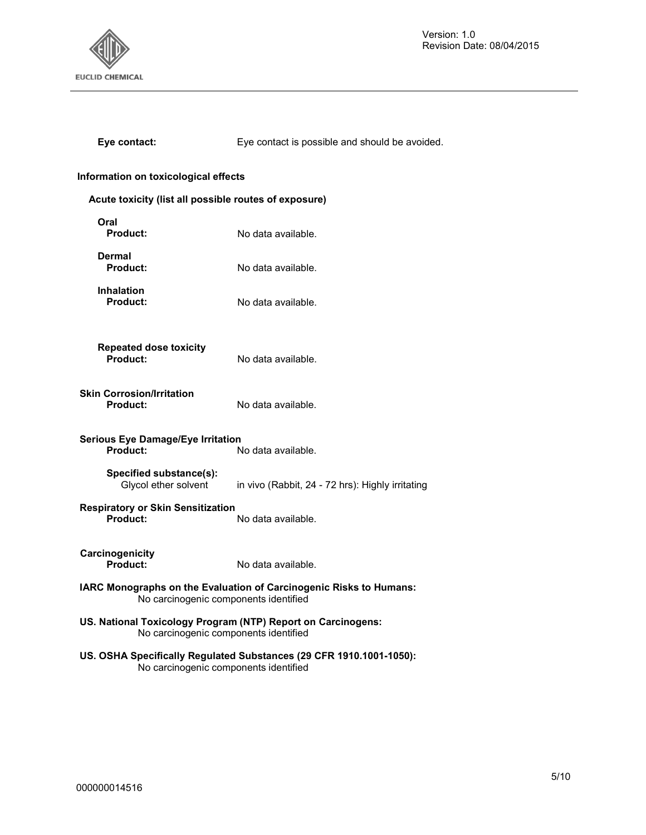

Version: 1.0 Revision Date: 08/04/2015

|  | Eye contact: |  |
|--|--------------|--|
|--|--------------|--|

Eye contact is possible and should be avoided.

### **Information on toxicological effects**

| Acute toxicity (list all possible routes of exposure)                                                       |                                                                     |  |
|-------------------------------------------------------------------------------------------------------------|---------------------------------------------------------------------|--|
| Oral<br>Product:                                                                                            | No data available.                                                  |  |
| Dermal<br>Product:                                                                                          | No data available.                                                  |  |
| <b>Inhalation</b><br>Product:                                                                               | No data available.                                                  |  |
| <b>Repeated dose toxicity</b><br>Product:                                                                   | No data available.                                                  |  |
| <b>Skin Corrosion/Irritation</b><br>Product:                                                                | No data available.                                                  |  |
| <b>Serious Eye Damage/Eye Irritation</b><br>Product:<br>No data available.                                  |                                                                     |  |
| Specified substance(s):<br>Glycol ether solvent                                                             | in vivo (Rabbit, 24 - 72 hrs): Highly irritating                    |  |
| <b>Respiratory or Skin Sensitization</b><br>Product:                                                        | No data available.                                                  |  |
| Carcinogenicity<br>Product:                                                                                 | No data available.                                                  |  |
| IARC Monographs on the Evaluation of Carcinogenic Risks to Humans:<br>No carcinogenic components identified |                                                                     |  |
| US. National Toxicology Program (NTP) Report on Carcinogens:<br>No carcinogenic components identified       |                                                                     |  |
|                                                                                                             | US. OSHA Specifically Regulated Substances (29 CFR 1910.1001-1050): |  |

No carcinogenic components identified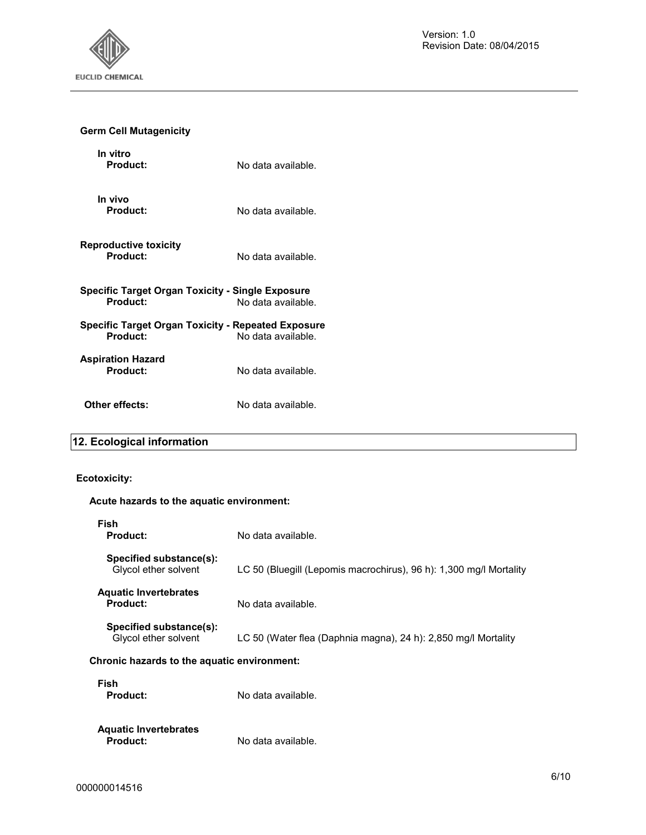

# **Germ Cell Mutagenicity**

| In vitro<br>Product:                                                | No data available. |
|---------------------------------------------------------------------|--------------------|
| In vivo<br><b>Product:</b>                                          | No data available. |
| <b>Reproductive toxicity</b><br>Product:                            | No data available. |
| Specific Target Organ Toxicity - Single Exposure<br><b>Product:</b> | No data available. |
| Specific Target Organ Toxicity - Repeated Exposure<br>Product:      | No data available. |
| Aspiration Hazard<br>Product:                                       | No data available. |
| Other effects:                                                      | No data available. |

# **12. Ecological information**

### **Ecotoxicity:**

### **Acute hazards to the aquatic environment:**

| Fish<br>Product:                                | No data available.                                                 |
|-------------------------------------------------|--------------------------------------------------------------------|
| Specified substance(s):<br>Givcol ether solvent | LC 50 (Bluegill (Lepomis macrochirus), 96 h): 1,300 mg/l Mortality |
| <b>Aquatic Invertebrates</b><br>Product:        | No data available.                                                 |
| Specified substance(s):<br>Givcol ether solvent | LC 50 (Water flea (Daphnia magna), 24 h): 2,850 mg/l Mortality     |
| Chronic hazards to the aquatic environment:     |                                                                    |

| Fish<br>Product:                         | No data available. |
|------------------------------------------|--------------------|
| <b>Aquatic Invertebrates</b><br>Product: | No data available. |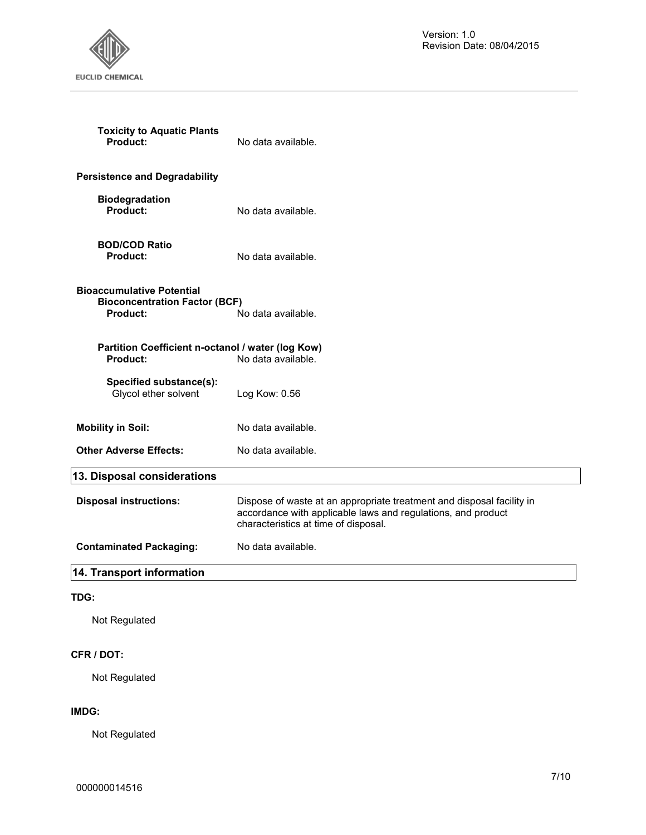Version: 1.0 Revision Date: 08/04/2015



| <b>Toxicity to Aquatic Plants</b><br>Product:                                               | No data available.                                                                                                                                                            |
|---------------------------------------------------------------------------------------------|-------------------------------------------------------------------------------------------------------------------------------------------------------------------------------|
| <b>Persistence and Degradability</b>                                                        |                                                                                                                                                                               |
| <b>Biodegradation</b><br>Product:                                                           | No data available.                                                                                                                                                            |
| <b>BOD/COD Ratio</b><br><b>Product:</b>                                                     | No data available.                                                                                                                                                            |
| <b>Bioaccumulative Potential</b><br><b>Bioconcentration Factor (BCF)</b><br><b>Product:</b> | No data available.                                                                                                                                                            |
| Partition Coefficient n-octanol / water (log Kow)<br>Product:                               | No data available.                                                                                                                                                            |
| Specified substance(s):<br>Glycol ether solvent                                             | Log Kow: 0.56                                                                                                                                                                 |
| <b>Mobility in Soil:</b>                                                                    | No data available.                                                                                                                                                            |
| <b>Other Adverse Effects:</b>                                                               | No data available.                                                                                                                                                            |
| 13. Disposal considerations                                                                 |                                                                                                                                                                               |
| <b>Disposal instructions:</b>                                                               | Dispose of waste at an appropriate treatment and disposal facility in<br>accordance with applicable laws and regulations, and product<br>characteristics at time of disposal. |
| <b>Contaminated Packaging:</b>                                                              | No data available.                                                                                                                                                            |
| 14. Transport information                                                                   |                                                                                                                                                                               |

Not Regulated

## **CFR / DOT:**

Not Regulated

### **IMDG:**

Not Regulated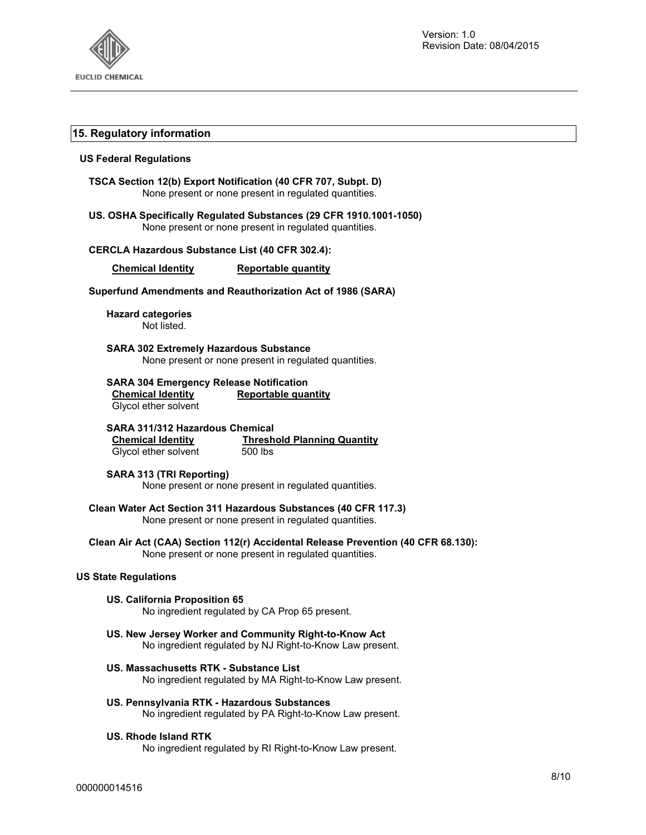

### **15. Regulatory information**

### **US Federal Regulations**

| TSCA Section 12(b) Export Notification (40 CFR 707, Subpt. D)<br>None present or none present in regulated quantities.                          |  |
|-------------------------------------------------------------------------------------------------------------------------------------------------|--|
| US. OSHA Specifically Regulated Substances (29 CFR 1910.1001-1050)<br>None present or none present in regulated quantities.                     |  |
| <b>CERCLA Hazardous Substance List (40 CFR 302.4):</b>                                                                                          |  |
| <b>Chemical Identity</b><br><b>Reportable quantity</b>                                                                                          |  |
| Superfund Amendments and Reauthorization Act of 1986 (SARA)                                                                                     |  |
| <b>Hazard categories</b><br>Not listed.                                                                                                         |  |
| <b>SARA 302 Extremely Hazardous Substance</b><br>None present or none present in regulated quantities.                                          |  |
| <b>SARA 304 Emergency Release Notification</b><br><b>Chemical Identity</b><br><b>Reportable quantity</b><br>Glycol ether solvent                |  |
| <b>SARA 311/312 Hazardous Chemical</b><br><b>Chemical Identity</b> Thresh<br>Glycol ether solvent 500 lbs<br><b>Threshold Planning Quantity</b> |  |
| <b>SARA 313 (TRI Reporting)</b><br>None present or none present in regulated quantities.                                                        |  |
| Clean Water Act Section 311 Hazardous Substances (40 CFR 117.3)<br>None present or none present in regulated quantities.                        |  |
| Clean Air Act (CAA) Section 112(r) Accidental Release Prevention (40 CFR 68.130):<br>None present or none present in regulated quantities.      |  |
| <b>US State Regulations</b>                                                                                                                     |  |
| <b>US. California Proposition 65</b><br>No ingredient regulated by CA Prop 65 present.                                                          |  |
| US. New Jersey Worker and Community Right-to-Know Act<br>No ingredient regulated by NJ Right-to-Know Law present.                               |  |
| US. Massachusetts RTK - Substance List<br>No ingredient regulated by MA Right-to-Know Law present.                                              |  |

**US. Pennsylvania RTK - Hazardous Substances**  No ingredient regulated by PA Right-to-Know Law present.

## **US. Rhode Island RTK**

No ingredient regulated by RI Right-to-Know Law present.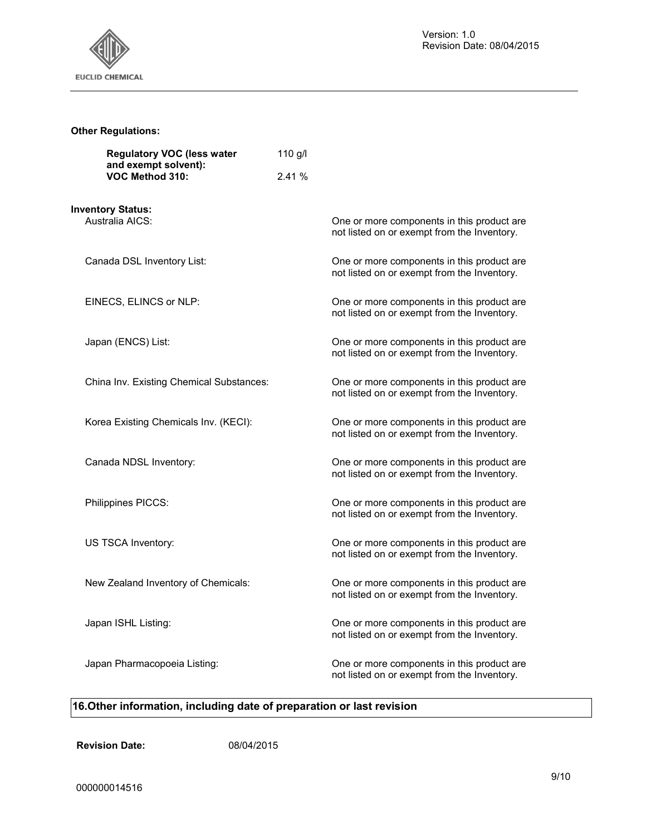

# **Other Regulations:**

| <b>Regulatory VOC (less water</b><br>and exempt solvent): | 110 $g/l$ |                                                                                           |
|-----------------------------------------------------------|-----------|-------------------------------------------------------------------------------------------|
| VOC Method 310:                                           | 2.41%     |                                                                                           |
| <b>Inventory Status:</b><br>Australia AICS:               |           | One or more components in this product are<br>not listed on or exempt from the Inventory. |
| Canada DSL Inventory List:                                |           | One or more components in this product are<br>not listed on or exempt from the Inventory. |
| EINECS, ELINCS or NLP:                                    |           | One or more components in this product are<br>not listed on or exempt from the Inventory. |
| Japan (ENCS) List:                                        |           | One or more components in this product are<br>not listed on or exempt from the Inventory. |
| China Inv. Existing Chemical Substances:                  |           | One or more components in this product are<br>not listed on or exempt from the Inventory. |
| Korea Existing Chemicals Inv. (KECI):                     |           | One or more components in this product are<br>not listed on or exempt from the Inventory. |
| Canada NDSL Inventory:                                    |           | One or more components in this product are<br>not listed on or exempt from the Inventory. |
| Philippines PICCS:                                        |           | One or more components in this product are<br>not listed on or exempt from the Inventory. |
| US TSCA Inventory:                                        |           | One or more components in this product are<br>not listed on or exempt from the Inventory. |
| New Zealand Inventory of Chemicals:                       |           | One or more components in this product are<br>not listed on or exempt from the Inventory. |
| Japan ISHL Listing:                                       |           | One or more components in this product are<br>not listed on or exempt from the Inventory. |
| Japan Pharmacopoeia Listing:                              |           | One or more components in this product are<br>not listed on or exempt from the Inventory. |

# **16.Other information, including date of preparation or last revision**

**Revision Date:** 08/04/2015